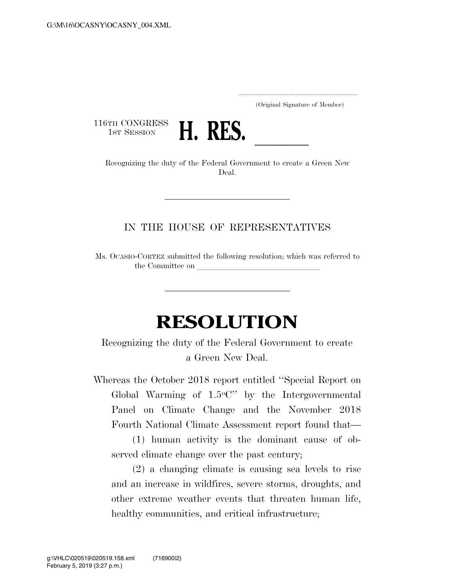.....................................................................

(Original Signature of Member)

116TH CONGRESS<br>1st Session



1st SESSION **H. KES.**<br>Recognizing the duty of the Federal Government to create a Green New Deal.

## IN THE HOUSE OF REPRESENTATIVES

Ms. OCASIO-CORTEZ submitted the following resolution; which was referred to the Committee on

## **RESOLUTION**

Recognizing the duty of the Federal Government to create a Green New Deal.

Whereas the October 2018 report entitled ''Special Report on Global Warming of 1.5oC'' by the Intergovernmental Panel on Climate Change and the November 2018 Fourth National Climate Assessment report found that—

(1) human activity is the dominant cause of observed climate change over the past century;

(2) a changing climate is causing sea levels to rise and an increase in wildfires, severe storms, droughts, and other extreme weather events that threaten human life, healthy communities, and critical infrastructure;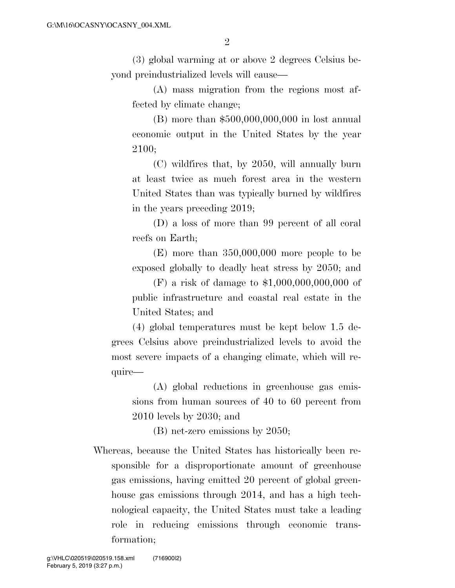(3) global warming at or above 2 degrees Celsius beyond preindustrialized levels will cause—

(A) mass migration from the regions most affected by climate change;

(B) more than \$500,000,000,000 in lost annual economic output in the United States by the year 2100;

(C) wildfires that, by 2050, will annually burn at least twice as much forest area in the western United States than was typically burned by wildfires in the years preceding 2019;

(D) a loss of more than 99 percent of all coral reefs on Earth;

(E) more than 350,000,000 more people to be exposed globally to deadly heat stress by 2050; and

(F) a risk of damage to \$1,000,000,000,000 of public infrastructure and coastal real estate in the United States; and

(4) global temperatures must be kept below 1.5 degrees Celsius above preindustrialized levels to avoid the most severe impacts of a changing climate, which will require—

(A) global reductions in greenhouse gas emissions from human sources of 40 to 60 percent from 2010 levels by 2030; and

(B) net-zero emissions by 2050;

Whereas, because the United States has historically been responsible for a disproportionate amount of greenhouse gas emissions, having emitted 20 percent of global greenhouse gas emissions through 2014, and has a high technological capacity, the United States must take a leading role in reducing emissions through economic transformation;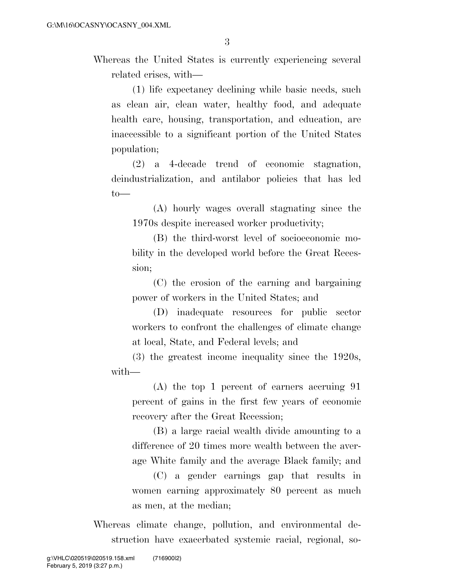Whereas the United States is currently experiencing several related crises, with—

(1) life expectancy declining while basic needs, such as clean air, clean water, healthy food, and adequate health care, housing, transportation, and education, are inaccessible to a significant portion of the United States population;

(2) a 4-decade trend of economic stagnation, deindustrialization, and antilabor policies that has led  $to$ —

(A) hourly wages overall stagnating since the 1970s despite increased worker productivity;

(B) the third-worst level of socioeconomic mobility in the developed world before the Great Recession;

(C) the erosion of the earning and bargaining power of workers in the United States; and

(D) inadequate resources for public sector workers to confront the challenges of climate change at local, State, and Federal levels; and

(3) the greatest income inequality since the 1920s, with—

(A) the top 1 percent of earners accruing 91 percent of gains in the first few years of economic recovery after the Great Recession;

(B) a large racial wealth divide amounting to a difference of 20 times more wealth between the average White family and the average Black family; and

(C) a gender earnings gap that results in women earning approximately 80 percent as much as men, at the median;

Whereas climate change, pollution, and environmental destruction have exacerbated systemic racial, regional, so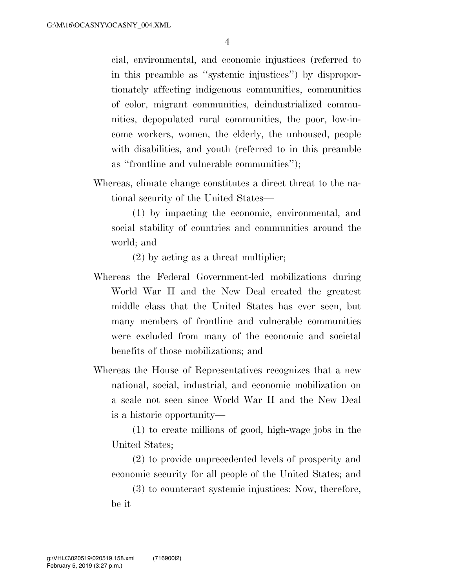cial, environmental, and economic injustices (referred to in this preamble as ''systemic injustices'') by disproportionately affecting indigenous communities, communities of color, migrant communities, deindustrialized communities, depopulated rural communities, the poor, low-income workers, women, the elderly, the unhoused, people with disabilities, and youth (referred to in this preamble as ''frontline and vulnerable communities'');

Whereas, climate change constitutes a direct threat to the national security of the United States—

(1) by impacting the economic, environmental, and social stability of countries and communities around the world; and

(2) by acting as a threat multiplier;

- Whereas the Federal Government-led mobilizations during World War II and the New Deal created the greatest middle class that the United States has ever seen, but many members of frontline and vulnerable communities were excluded from many of the economic and societal benefits of those mobilizations; and
- Whereas the House of Representatives recognizes that a new national, social, industrial, and economic mobilization on a scale not seen since World War II and the New Deal is a historic opportunity—

(1) to create millions of good, high-wage jobs in the United States;

(2) to provide unprecedented levels of prosperity and economic security for all people of the United States; and

(3) to counteract systemic injustices: Now, therefore, be it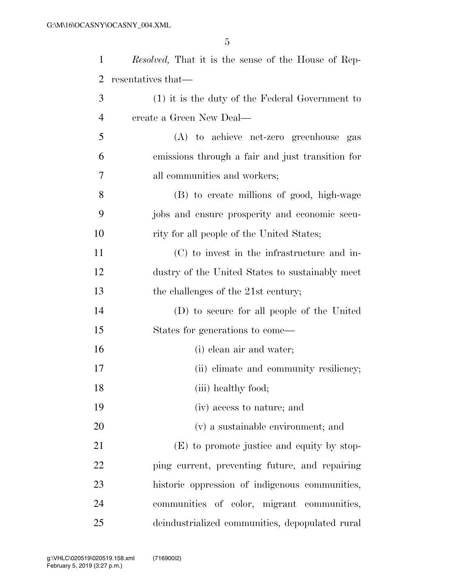| $\mathbf{1}$   | <i>Resolved</i> , That it is the sense of the House of Rep- |
|----------------|-------------------------------------------------------------|
| 2              | resentatives that—                                          |
| 3              | $(1)$ it is the duty of the Federal Government to           |
| $\overline{4}$ | create a Green New Deal—                                    |
| 5              | (A) to achieve net-zero greenhouse gas                      |
| 6              | emissions through a fair and just transition for            |
| 7              | all communities and workers;                                |
| 8              | (B) to create millions of good, high-wage                   |
| 9              | jobs and ensure prosperity and economic secu-               |
| 10             | rity for all people of the United States;                   |
| 11             | (C) to invest in the infrastructure and in-                 |
| 12             | dustry of the United States to sustainably meet             |
| 13             | the challenges of the 21st century;                         |
| 14             | (D) to secure for all people of the United                  |
| 15             | States for generations to come—                             |
| 16             | (i) clean air and water;                                    |
| 17             | (ii) climate and community resiliency;                      |
| 18             | (iii) healthy food;                                         |
| 19             | (iv) access to nature; and                                  |
| 20             | (v) a sustainable environment; and                          |
| 21             | (E) to promote justice and equity by stop-                  |
| 22             | ping current, preventing future, and repairing              |
| 23             | historic oppression of indigenous communities,              |
| 24             | communities of color, migrant communities,                  |
| 25             | deindustrialized communities, depopulated rural             |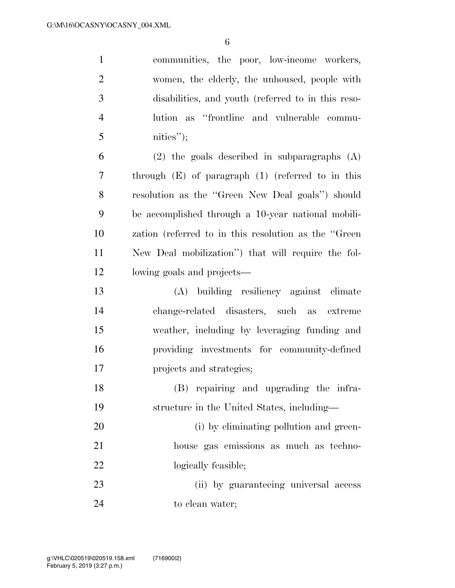communities, the poor, low-income workers, women, the elderly, the unhoused, people with disabilities, and youth (referred to in this reso- lution as ''frontline and vulnerable commu- nities"); (2) the goals described in subparagraphs (A) through (E) of paragraph (1) (referred to in this resolution as the ''Green New Deal goals'') should be accomplished through a 10-year national mobili-

 zation (referred to in this resolution as the ''Green New Deal mobilization'') that will require the fol-lowing goals and projects—

 (A) building resiliency against climate change-related disasters, such as extreme weather, including by leveraging funding and providing investments for community-defined projects and strategies;

 (B) repairing and upgrading the infra-structure in the United States, including—

20 (i) by eliminating pollution and green- house gas emissions as much as techno-22 logically feasible;

 (ii) by guaranteeing universal access 24 to clean water;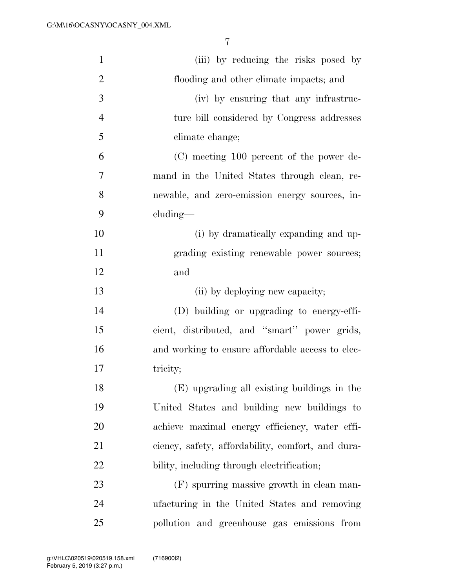| $\mathbf{1}$   | (iii) by reducing the risks posed by              |
|----------------|---------------------------------------------------|
| $\overline{2}$ | flooding and other climate impacts; and           |
| 3              | (iv) by ensuring that any infrastruc-             |
| $\overline{4}$ | ture bill considered by Congress addresses        |
| 5              | climate change;                                   |
| 6              | (C) meeting 100 percent of the power de-          |
| 7              | mand in the United States through clean, re-      |
| 8              | newable, and zero-emission energy sources, in-    |
| 9              | cluding—                                          |
| 10             | (i) by dramatically expanding and up-             |
| 11             | grading existing renewable power sources;         |
| 12             | and                                               |
| 13             | (ii) by deploying new capacity;                   |
| 14             | (D) building or upgrading to energy-effi-         |
| 15             | cient, distributed, and "smart" power grids,      |
| 16             | and working to ensure affordable access to elec-  |
| 17             | tricity;                                          |
| 18             | (E) upgrading all existing buildings in the       |
| 19             | United States and building new buildings to       |
| 20             | achieve maximal energy efficiency, water effi-    |
| 21             | ciency, safety, affordability, comfort, and dura- |
| 22             | bility, including through electrification;        |
| 23             | (F) spurring massive growth in clean man-         |
| 24             | ufacturing in the United States and removing      |
| 25             | pollution and greenhouse gas emissions from       |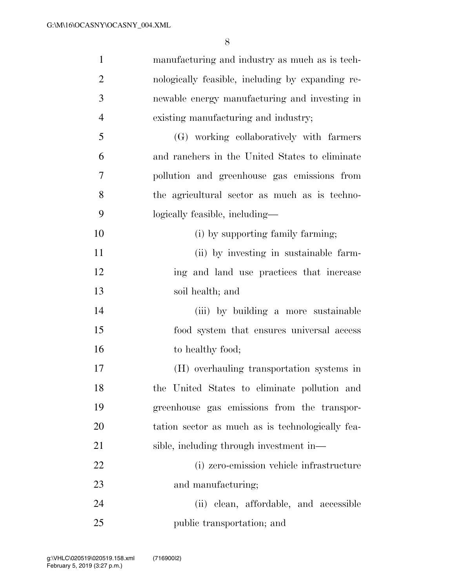| $\mathbf{1}$   | manufacturing and industry as much as is tech-   |
|----------------|--------------------------------------------------|
| $\overline{2}$ | nologically feasible, including by expanding re- |
| 3              | newable energy manufacturing and investing in    |
| $\overline{4}$ | existing manufacturing and industry;             |
| 5              | (G) working collaboratively with farmers         |
| 6              | and ranchers in the United States to eliminate   |
| 7              | pollution and greenhouse gas emissions from      |
| 8              | the agricultural sector as much as is techno-    |
| 9              | logically feasible, including—                   |
| 10             | (i) by supporting family farming;                |
| 11             | (ii) by investing in sustainable farm-           |
| 12             | ing and land use practices that increase         |
| 13             | soil health; and                                 |
| 14             | (iii) by building a more sustainable             |
| 15             | food system that ensures universal access        |
| 16             | to healthy food;                                 |
| 17             | (H) overhauling transportation systems in        |
| 18             | the United States to eliminate pollution and     |
| 19             | greenhouse gas emissions from the transpor-      |
| 20             | tation sector as much as is technologically fea- |
| 21             | sible, including through investment in—          |
| 22             | (i) zero-emission vehicle infrastructure         |
| 23             | and manufacturing;                               |
| 24             | (ii) clean, affordable, and accessible           |
| 25             | public transportation; and                       |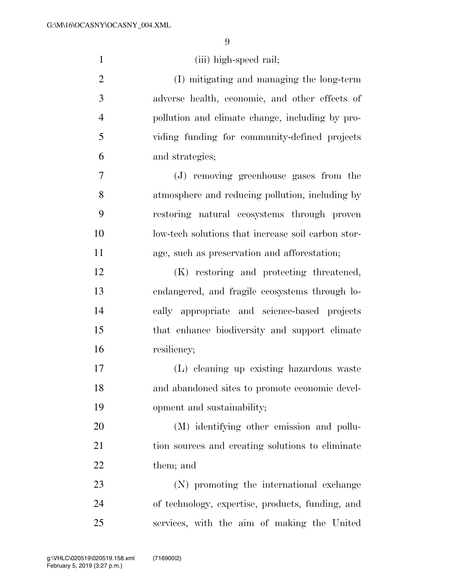| $\mathbf{1}$   | (iii) high-speed rail;                             |
|----------------|----------------------------------------------------|
| $\overline{2}$ | (I) mitigating and managing the long-term          |
| 3              | adverse health, economic, and other effects of     |
| $\overline{4}$ | pollution and climate change, including by pro-    |
| 5              | viding funding for community-defined projects      |
| 6              | and strategies;                                    |
| 7              | (J) removing greenhouse gases from the             |
| 8              | atmosphere and reducing pollution, including by    |
| 9              | restoring natural ecosystems through proven        |
| 10             | low-tech solutions that increase soil carbon stor- |
| 11             | age, such as preservation and afforestation;       |
| 12             | (K) restoring and protecting threatened,           |
| 13             | endangered, and fragile ecosystems through lo-     |
| 14             | cally appropriate and science-based projects       |
| 15             | that enhance biodiversity and support climate      |
| 16             | resiliency;                                        |
| 17             | (L) eleaning up existing hazardous waste           |
| 18             | and abandoned sites to promote economic devel-     |
| 19             | opment and sustainability;                         |
| 20             | (M) identifying other emission and pollu-          |
| 21             | tion sources and creating solutions to eliminate   |
| 22             | them; and                                          |
| 23             | (N) promoting the international exchange           |
| 24             | of technology, expertise, products, funding, and   |
| 25             | services, with the aim of making the United        |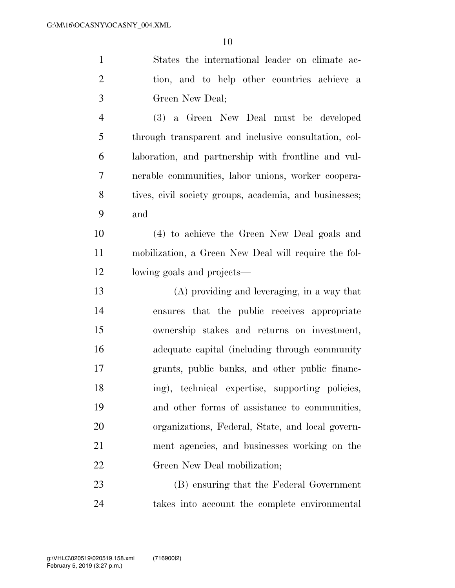| $\mathbf{1}$   | States the international leader on climate ac-         |
|----------------|--------------------------------------------------------|
| $\overline{2}$ | tion, and to help other countries achieve a            |
| 3              | Green New Deal;                                        |
| $\overline{4}$ | (3) a Green New Deal must be developed                 |
| 5              | through transparent and inclusive consultation, col-   |
| 6              | laboration, and partnership with frontline and vul-    |
| 7              | nerable communities, labor unions, worker coopera-     |
| 8              | tives, civil society groups, academia, and businesses; |
| 9              | and                                                    |
| 10             | (4) to achieve the Green New Deal goals and            |
| 11             | mobilization, a Green New Deal will require the fol-   |
| 12             | lowing goals and projects—                             |
| 13             | $(A)$ providing and leveraging, in a way that          |
| 14             | ensures that the public receives appropriate           |
| 15             | ownership stakes and returns on investment,            |
| 16             | adequate capital (including through community          |
| 17             | grants, public banks, and other public financ-         |
| 18             | ing), technical expertise, supporting policies,        |
| 19             | and other forms of assistance to communities,          |
| 20             | organizations, Federal, State, and local govern-       |
| 21             | ment agencies, and businesses working on the           |
| 22             | Green New Deal mobilization;                           |
| 23             | (B) ensuring that the Federal Government               |
| 24             | takes into account the complete environmental          |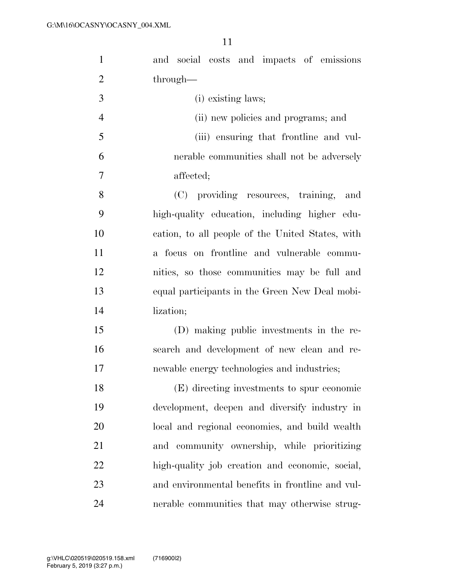| $\mathbf{1}$   | and social costs and impacts of emissions        |
|----------------|--------------------------------------------------|
| $\overline{2}$ | through—                                         |
| 3              | (i) existing laws;                               |
| $\overline{4}$ | (ii) new policies and programs; and              |
| 5              | (iii) ensuring that frontline and vul-           |
| 6              | nerable communities shall not be adversely       |
| 7              | affected;                                        |
| 8              | (C) providing resources, training, and           |
| 9              | high-quality education, including higher edu-    |
| 10             | cation, to all people of the United States, with |
| 11             | a focus on frontline and vulnerable commu-       |
| 12             | nities, so those communities may be full and     |
| 13             | equal participants in the Green New Deal mobi-   |
| 14             | lization;                                        |
| 15             | (D) making public investments in the re-         |
| 16             | search and development of new clean and re-      |
| 17             | newable energy technologies and industries;      |
| 18             | (E) directing investments to spur economic       |
| 19             | development, deepen and diversify industry in    |
| 20             | local and regional economies, and build wealth   |
| 21             | and community ownership, while prioritizing      |
| 22             | high-quality job creation and economic, social,  |
| 23             | and environmental benefits in frontline and vul- |
| 24             | nerable communities that may otherwise strug-    |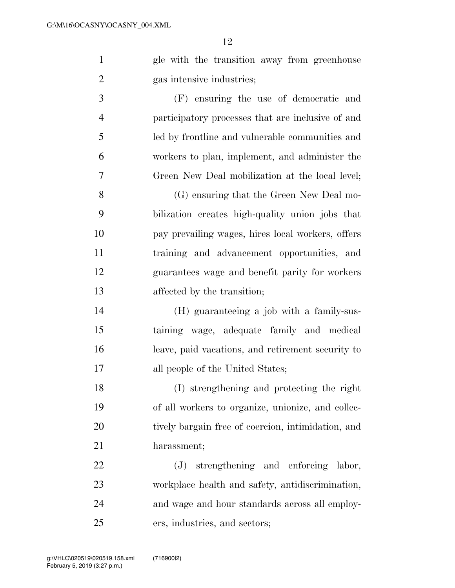gle with the transition away from greenhouse gas intensive industries;

 (F) ensuring the use of democratic and participatory processes that are inclusive of and led by frontline and vulnerable communities and workers to plan, implement, and administer the Green New Deal mobilization at the local level;

 (G) ensuring that the Green New Deal mo- bilization creates high-quality union jobs that pay prevailing wages, hires local workers, offers training and advancement opportunities, and guarantees wage and benefit parity for workers affected by the transition;

 (H) guaranteeing a job with a family-sus- taining wage, adequate family and medical leave, paid vacations, and retirement security to all people of the United States;

 (I) strengthening and protecting the right of all workers to organize, unionize, and collec- tively bargain free of coercion, intimidation, and harassment;

 (J) strengthening and enforcing labor, workplace health and safety, antidiscrimination, and wage and hour standards across all employ-ers, industries, and sectors;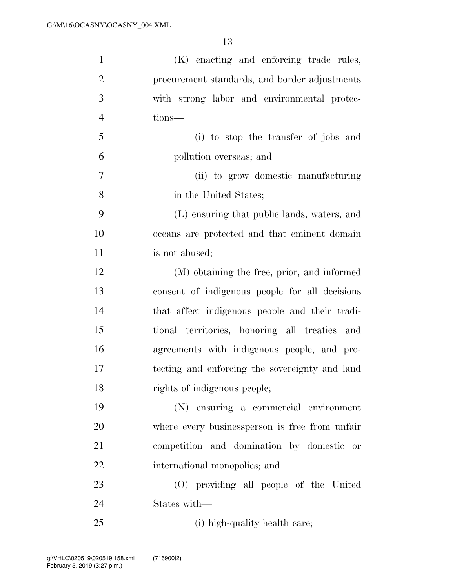| $\mathbf{1}$   | (K) enacting and enforcing trade rules,         |
|----------------|-------------------------------------------------|
| $\overline{2}$ | procurement standards, and border adjustments   |
| 3              | with strong labor and environmental protec-     |
| $\overline{4}$ | tions—                                          |
| 5              | (i) to stop the transfer of jobs and            |
| 6              | pollution overseas; and                         |
| 7              | (ii) to grow domestic manufacturing             |
| 8              | in the United States;                           |
| 9              | (L) ensuring that public lands, waters, and     |
| 10             | oceans are protected and that eminent domain    |
| 11             | is not abused;                                  |
| 12             | (M) obtaining the free, prior, and informed     |
| 13             | consent of indigenous people for all decisions  |
| 14             | that affect indigenous people and their tradi-  |
| 15             | tional territories, honoring all treaties and   |
| 16             | agreements with indigenous people, and pro-     |
| 17             | tecting and enforcing the sovereignty and land  |
| 18             | rights of indigenous people;                    |
| 19             | (N) ensuring a commercial environment           |
| 20             | where every business person is free from unfair |
| 21             | competition and domination by domestic or       |
| 22             | international monopolies; and                   |
| 23             | (O) providing all people of the United          |
| 24             | States with—                                    |
| 25             | (i) high-quality health care;                   |